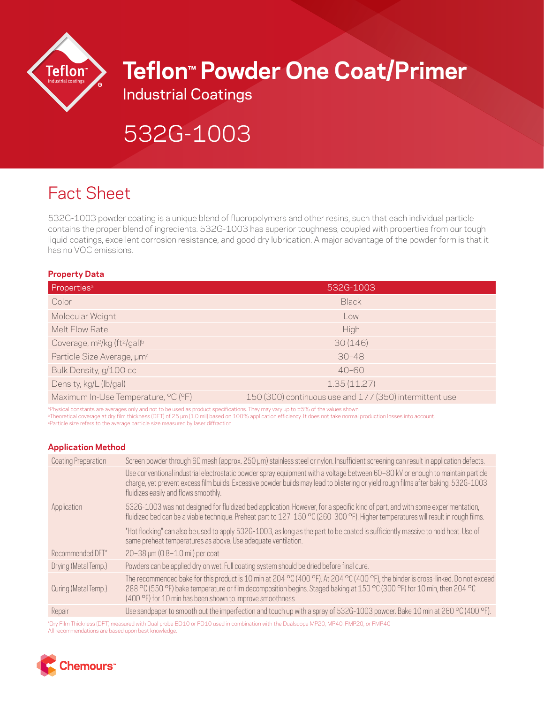

# **Teflon™ Powder One Coat/Primer**

Industrial Coatings

# 532G-1003

# Fact Sheet

532G-1003 powder coating is a unique blend of fluoropolymers and other resins, such that each individual particle contains the proper blend of ingredients. 532G-1003 has superior toughness, coupled with properties from our tough liquid coatings, excellent corrosion resistance, and good dry lubrication. A major advantage of the powder form is that it has no VOC emissions.

# **Property Data**

| Properties <sup>a</sup>                                          | 532G-1003                                               |
|------------------------------------------------------------------|---------------------------------------------------------|
| Color                                                            | <b>Black</b>                                            |
| Molecular Weight                                                 | Low                                                     |
| Melt Flow Rate                                                   | High                                                    |
| Coverage, m <sup>2</sup> /kg (ft <sup>2</sup> /gal) <sup>b</sup> | 30(146)                                                 |
| Particle Size Average, um <sup>c</sup>                           | $30 - 48$                                               |
| Bulk Density, g/100 cc                                           | $40 - 60$                                               |
| Density, kg/L (lb/gal)                                           | 1.35(11.27)                                             |
| Maximum In-Use Temperature, °C (°F)                              | 150 (300) continuous use and 177 (350) intermittent use |

aPhysical constants are averages only and not to be used as product specifications. They may vary up to ±5% of the values shown.

bTheoretical coverage at dry film thickness (DFT) of 25 μm (1.0 mil) based on 100% application efficiency. It does not take normal production losses into account. cParticle size refers to the average particle size measured by laser diffraction.

# **Application Method**

| Coating Preparation  | Screen powder through 60 mesh (approx. 250 µm) stainless steel or nylon. Insufficient screening can result in application defects.                                                                                                                                                                                        |
|----------------------|---------------------------------------------------------------------------------------------------------------------------------------------------------------------------------------------------------------------------------------------------------------------------------------------------------------------------|
|                      | Use conventional industrial electrostatic powder spray equipment with a voltage between 60-80 kV or enough to maintain particle<br>charge, yet prevent excess film builds. Excessive powder builds may lead to blistering or yield rough films after baking. 532G-1003<br>fluidizes easily and flows smoothly.            |
| Application          | 532G-1003 was not designed for fluidized bed application. However, for a specific kind of part, and with some experimentation,<br>fluidized bed can be a viable technique. Preheat part to 127-150 °C (260-300 °F). Higher temperatures will result in rough films.                                                       |
|                      | "Hot flocking" can also be used to apply 532G-1003, as long as the part to be coated is sufficiently massive to hold heat. Use of<br>same preheat temperatures as above. Use adequate ventilation.                                                                                                                        |
| Recommended DFT*     | 20-38 µm (0.8-1.0 mil) per coat                                                                                                                                                                                                                                                                                           |
| Drying (Metal Temp.) | Powders can be applied dry on wet. Full coating system should be dried before final cure.                                                                                                                                                                                                                                 |
| Curing (Metal Temp.) | The recommended bake for this product is 10 min at 204 °C (400 °F). At 204 °C (400 °F), the binder is cross-linked. Do not exceed<br>288 °C (550 °F) bake temperature or film decomposition begins. Staged baking at 150 °C (300 °F) for 10 min, then 204 °C<br>(400 °F) for 10 min has been shown to improve smoothness. |
| Repair               | Use sandpaper to smooth out the imperfection and touch up with a spray of 532G-1003 powder. Bake 10 min at 260 °C (400 °F).                                                                                                                                                                                               |

\*Dry Film Thickness (DFT) measured with Dual probe ED10 or FD10 used in combination with the Dualscope MP20, MP40, FMP20, or FMP40 All recommendations are based upon best knowledge.